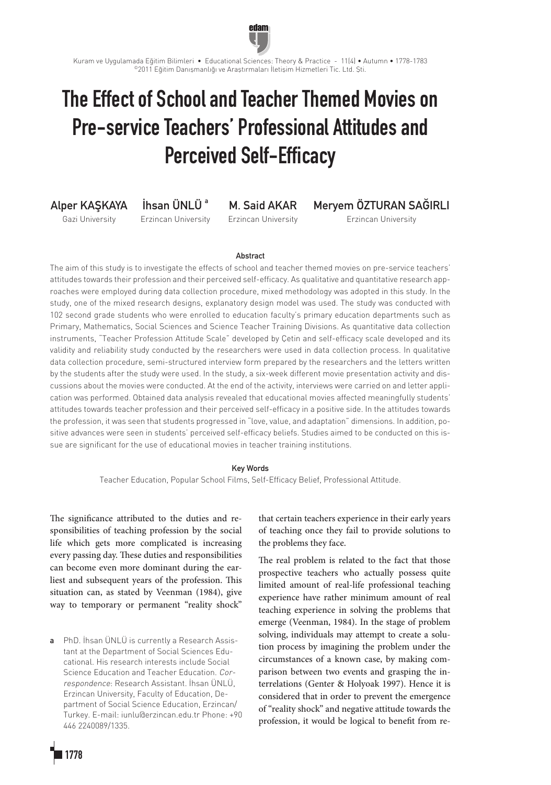

edam

# The Effect of School and Teacher Themed Movies on Pre-service Teachers' Professional Attitudes and Perceived Self-Efficacy

Alper KAŞKAYA Gazi University

İhsan ÜNLÜ<sup>a</sup> Erzincan University

M. Said AKAR Erzincan University Meryem ÖZTURAN SAĞIRLI

Erzincan University

## Abstract

The aim of this study is to investigate the effects of school and teacher themed movies on pre-service teachers' attitudes towards their profession and their perceived self-efficacy. As qualitative and quantitative research approaches were employed during data collection procedure, mixed methodology was adopted in this study. In the study, one of the mixed research designs, explanatory design model was used. The study was conducted with 102 second grade students who were enrolled to education faculty's primary education departments such as Primary, Mathematics, Social Sciences and Science Teacher Training Divisions. As quantitative data collection instruments, "Teacher Profession Attitude Scale" developed by Çetin and self-efficacy scale developed and its validity and reliability study conducted by the researchers were used in data collection process. In qualitative data collection procedure, semi-structured interview form prepared by the researchers and the letters written by the students after the study were used. In the study, a six-week different movie presentation activity and discussions about the movies were conducted. At the end of the activity, interviews were carried on and letter application was performed. Obtained data analysis revealed that educational movies affected meaningfully students' attitudes towards teacher profession and their perceived self-efficacy in a positive side. In the attitudes towards the profession, it was seen that students progressed in "love, value, and adaptation" dimensions. In addition, positive advances were seen in students' perceived self-efficacy beliefs. Studies aimed to be conducted on this issue are significant for the use of educational movies in teacher training institutions.

## Key Words

Teacher Education, Popular School Films, Self-Efficacy Belief, Professional Attitude.

The significance attributed to the duties and responsibilities of teaching profession by the social life which gets more complicated is increasing every passing day. These duties and responsibilities can become even more dominant during the earliest and subsequent years of the profession. This situation can, as stated by Veenman (1984), give way to temporary or permanent "reality shock"

a PhD. İhsan ÜNLÜ is currently a Research Assistant at the Department of Social Sciences Educational. His research interests include Social Science Education and Teacher Education. Correspondence: Research Assistant. İhsan ÜNLÜ, Erzincan University, Faculty of Education, Department of Social Science Education, Erzincan/ Turkey. E-mail: iunlu@erzincan.edu.tr Phone: +90 446 2240089/1335.

that certain teachers experience in their early years of teaching once they fail to provide solutions to the problems they face.

The real problem is related to the fact that those prospective teachers who actually possess quite limited amount of real-life professional teaching experience have rather minimum amount of real teaching experience in solving the problems that emerge (Veenman, 1984). In the stage of problem solving, individuals may attempt to create a solution process by imagining the problem under the circumstances of a known case, by making comparison between two events and grasping the interrelations (Genter & Holyoak 1997). Hence it is considered that in order to prevent the emergence of "reality shock" and negative attitude towards the profession, it would be logical to benefit from re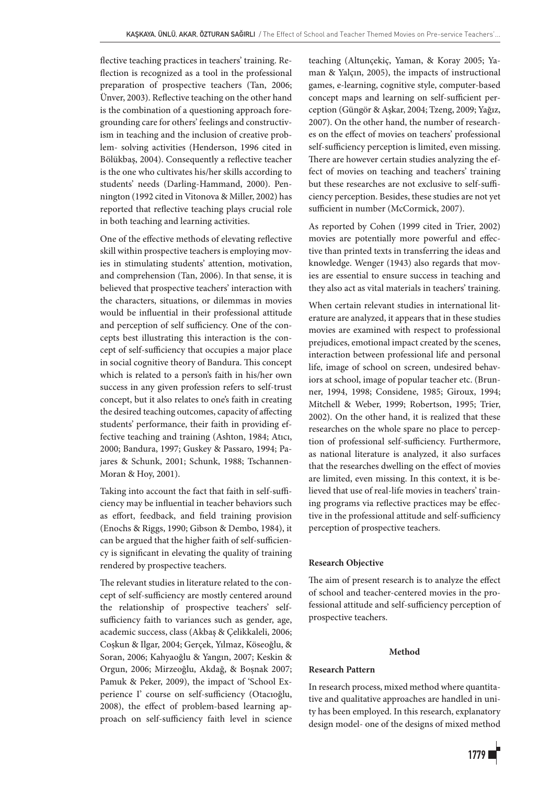flective teaching practices in teachers' training. Reflection is recognized as a tool in the professional preparation of prospective teachers (Tan, 2006; Ünver, 2003). Reflective teaching on the other hand is the combination of a questioning approach foregrounding care for others' feelings and constructivism in teaching and the inclusion of creative problem- solving activities (Henderson, 1996 cited in Bölükbaş, 2004). Consequently a reflective teacher is the one who cultivates his/her skills according to students' needs (Darling-Hammand, 2000). Pennington (1992 cited in Vitonova & Miller, 2002) has reported that reflective teaching plays crucial role in both teaching and learning activities.

One of the effective methods of elevating reflective skill within prospective teachers is employing movies in stimulating students' attention, motivation, and comprehension (Tan, 2006). In that sense, it is believed that prospective teachers' interaction with the characters, situations, or dilemmas in movies would be influential in their professional attitude and perception of self sufficiency. One of the concepts best illustrating this interaction is the concept of self-sufficiency that occupies a major place in social cognitive theory of Bandura. This concept which is related to a person's faith in his/her own success in any given profession refers to self-trust concept, but it also relates to one's faith in creating the desired teaching outcomes, capacity of affecting students' performance, their faith in providing effective teaching and training (Ashton, 1984; Atıcı, 2000; Bandura, 1997; Guskey & Passaro, 1994; Pajares & Schunk, 2001; Schunk, 1988; Tschannen-Moran & Hoy, 2001).

Taking into account the fact that faith in self-sufficiency may be influential in teacher behaviors such as effort, feedback, and field training provision (Enochs & Riggs, 1990; Gibson & Dembo, 1984), it can be argued that the higher faith of self-sufficiency is significant in elevating the quality of training rendered by prospective teachers.

The relevant studies in literature related to the concept of self-sufficiency are mostly centered around the relationship of prospective teachers' selfsufficiency faith to variances such as gender, age, academic success, class (Akbaş & Çelikkaleli, 2006; Coşkun & Ilgar, 2004; Gerçek, Yılmaz, Köseoğlu, & Soran, 2006; Kahyaoğlu & Yangın, 2007; Keskin & Orgun, 2006; Mirzeoğlu, Akdağ, & Boşnak 2007; Pamuk & Peker, 2009), the impact of 'School Experience I' course on self-sufficiency (Otacıoğlu, 2008), the effect of problem-based learning approach on self-sufficiency faith level in science teaching (Altunçekiç, Yaman, & Koray 2005; Yaman & Yalçın, 2005), the impacts of instructional games, e-learning, cognitive style, computer-based concept maps and learning on self-sufficient perception (Güngör & Aşkar, 2004; Tzeng, 2009; Yağız, 2007). On the other hand, the number of researches on the effect of movies on teachers' professional self-sufficiency perception is limited, even missing. There are however certain studies analyzing the effect of movies on teaching and teachers' training but these researches are not exclusive to self-sufficiency perception. Besides, these studies are not yet sufficient in number (McCormick, 2007).

As reported by Cohen (1999 cited in Trier, 2002) movies are potentially more powerful and effective than printed texts in transferring the ideas and knowledge. Wenger (1943) also regards that movies are essential to ensure success in teaching and they also act as vital materials in teachers' training.

When certain relevant studies in international literature are analyzed, it appears that in these studies movies are examined with respect to professional prejudices, emotional impact created by the scenes, interaction between professional life and personal life, image of school on screen, undesired behaviors at school, image of popular teacher etc. (Brunner, 1994, 1998; Considene, 1985; Giroux, 1994; Mitchell & Weber, 1999; Robertson, 1995; Trier, 2002). On the other hand, it is realized that these researches on the whole spare no place to perception of professional self-sufficiency. Furthermore, as national literature is analyzed, it also surfaces that the researches dwelling on the effect of movies are limited, even missing. In this context, it is believed that use of real-life movies in teachers' training programs via reflective practices may be effective in the professional attitude and self-sufficiency perception of prospective teachers.

## **Research Objective**

The aim of present research is to analyze the effect of school and teacher-centered movies in the professional attitude and self-sufficiency perception of prospective teachers.

## **Method**

### **Research Pattern**

In research process, mixed method where quantitative and qualitative approaches are handled in unity has been employed. In this research, explanatory design model- one of the designs of mixed method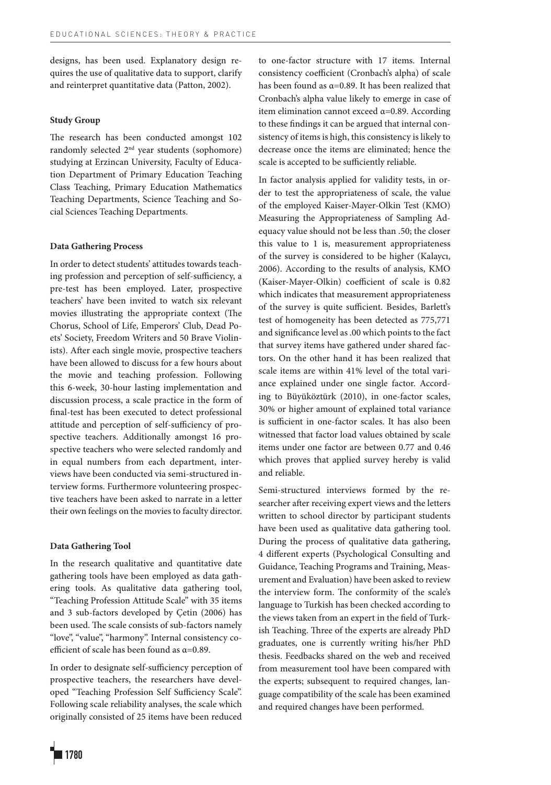designs, has been used. Explanatory design requires the use of qualitative data to support, clarify and reinterpret quantitative data (Patton, 2002).

## **Study Group**

The research has been conducted amongst 102 randomly selected 2nd year students (sophomore) studying at Erzincan University, Faculty of Education Department of Primary Education Teaching Class Teaching, Primary Education Mathematics Teaching Departments, Science Teaching and Social Sciences Teaching Departments.

## **Data Gathering Process**

In order to detect students' attitudes towards teaching profession and perception of self-sufficiency, a pre-test has been employed. Later, prospective teachers' have been invited to watch six relevant movies illustrating the appropriate context (The Chorus, School of Life, Emperors' Club, Dead Poets' Society, Freedom Writers and 50 Brave Violinists). After each single movie, prospective teachers have been allowed to discuss for a few hours about the movie and teaching profession. Following this 6-week, 30-hour lasting implementation and discussion process, a scale practice in the form of final-test has been executed to detect professional attitude and perception of self-sufficiency of prospective teachers. Additionally amongst 16 prospective teachers who were selected randomly and in equal numbers from each department, interviews have been conducted via semi-structured interview forms. Furthermore volunteering prospective teachers have been asked to narrate in a letter their own feelings on the movies to faculty director.

## **Data Gathering Tool**

In the research qualitative and quantitative date gathering tools have been employed as data gathering tools. As qualitative data gathering tool, "Teaching Profession Attitude Scale" with 35 items and 3 sub-factors developed by Çetin (2006) has been used. The scale consists of sub-factors namely "love", "value", "harmony". Internal consistency coefficient of scale has been found as α=0.89.

In order to designate self-sufficiency perception of prospective teachers, the researchers have developed "Teaching Profession Self Sufficiency Scale". Following scale reliability analyses, the scale which originally consisted of 25 items have been reduced

to one-factor structure with 17 items. Internal consistency coefficient (Cronbach's alpha) of scale has been found as  $\alpha$ =0.89. It has been realized that Cronbach's alpha value likely to emerge in case of item elimination cannot exceed  $\alpha$ =0.89. According to these findings it can be argued that internal consistency of items is high, this consistency is likely to decrease once the items are eliminated; hence the scale is accepted to be sufficiently reliable.

In factor analysis applied for validity tests, in order to test the appropriateness of scale, the value of the employed Kaiser-Mayer-Olkin Test (KMO) Measuring the Appropriateness of Sampling Adequacy value should not be less than .50; the closer this value to 1 is, measurement appropriateness of the survey is considered to be higher (Kalaycı, 2006). According to the results of analysis, KMO (Kaiser-Mayer-Olkin) coefficient of scale is 0.82 which indicates that measurement appropriateness of the survey is quite sufficient. Besides, Barlett's test of homogeneity has been detected as 775,771 and significance level as .00 which points to the fact that survey items have gathered under shared factors. On the other hand it has been realized that scale items are within 41% level of the total variance explained under one single factor. According to Büyüköztürk (2010), in one-factor scales, 30% or higher amount of explained total variance is sufficient in one-factor scales. It has also been witnessed that factor load values obtained by scale items under one factor are between 0.77 and 0.46 which proves that applied survey hereby is valid and reliable.

Semi-structured interviews formed by the researcher after receiving expert views and the letters written to school director by participant students have been used as qualitative data gathering tool. During the process of qualitative data gathering, 4 different experts (Psychological Consulting and Guidance, Teaching Programs and Training, Measurement and Evaluation) have been asked to review the interview form. The conformity of the scale's language to Turkish has been checked according to the views taken from an expert in the field of Turkish Teaching. Three of the experts are already PhD graduates, one is currently writing his/her PhD thesis. Feedbacks shared on the web and received from measurement tool have been compared with the experts; subsequent to required changes, language compatibility of the scale has been examined and required changes have been performed.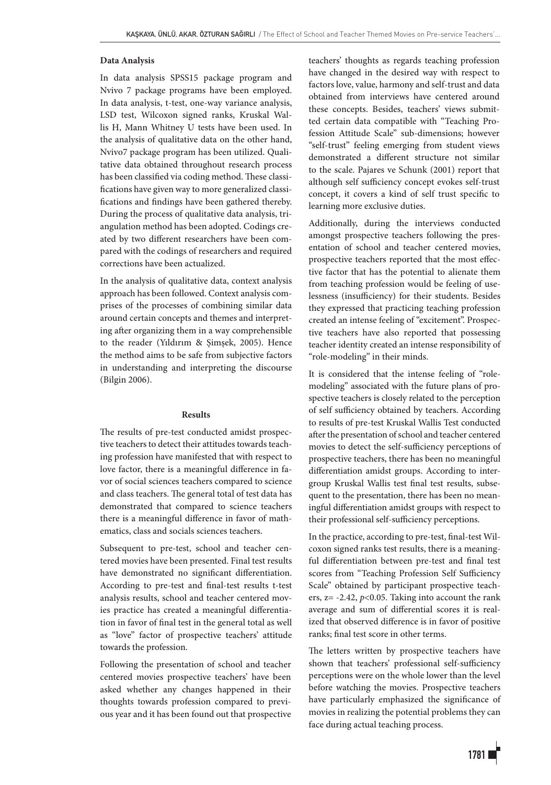## **Data Analysis**

In data analysis SPSS15 package program and Nvivo 7 package programs have been employed. In data analysis, t-test, one-way variance analysis, LSD test, Wilcoxon signed ranks, Kruskal Wallis H, Mann Whitney U tests have been used. In the analysis of qualitative data on the other hand, Nvivo7 package program has been utilized. Qualitative data obtained throughout research process has been classified via coding method. These classifications have given way to more generalized classifications and findings have been gathered thereby. During the process of qualitative data analysis, triangulation method has been adopted. Codings created by two different researchers have been compared with the codings of researchers and required corrections have been actualized.

In the analysis of qualitative data, context analysis approach has been followed. Context analysis comprises of the processes of combining similar data around certain concepts and themes and interpreting after organizing them in a way comprehensible to the reader (Yıldırım & Şimşek, 2005). Hence the method aims to be safe from subjective factors in understanding and interpreting the discourse (Bilgin 2006).

## **Results**

The results of pre-test conducted amidst prospective teachers to detect their attitudes towards teaching profession have manifested that with respect to love factor, there is a meaningful difference in favor of social sciences teachers compared to science and class teachers. The general total of test data has demonstrated that compared to science teachers there is a meaningful difference in favor of mathematics, class and socials sciences teachers.

Subsequent to pre-test, school and teacher centered movies have been presented. Final test results have demonstrated no significant differentiation. According to pre-test and final-test results t-test analysis results, school and teacher centered movies practice has created a meaningful differentiation in favor of final test in the general total as well as "love" factor of prospective teachers' attitude towards the profession.

Following the presentation of school and teacher centered movies prospective teachers' have been asked whether any changes happened in their thoughts towards profession compared to previous year and it has been found out that prospective

teachers' thoughts as regards teaching profession have changed in the desired way with respect to factors love, value, harmony and self-trust and data obtained from interviews have centered around these concepts. Besides, teachers' views submitted certain data compatible with "Teaching Profession Attitude Scale" sub-dimensions; however "self-trust" feeling emerging from student views demonstrated a different structure not similar to the scale. Pajares ve Schunk (2001) report that although self sufficiency concept evokes self-trust concept, it covers a kind of self trust specific to learning more exclusive duties.

Additionally, during the interviews conducted amongst prospective teachers following the presentation of school and teacher centered movies, prospective teachers reported that the most effective factor that has the potential to alienate them from teaching profession would be feeling of uselessness (insufficiency) for their students. Besides they expressed that practicing teaching profession created an intense feeling of "excitement". Prospective teachers have also reported that possessing teacher identity created an intense responsibility of "role-modeling" in their minds.

It is considered that the intense feeling of "rolemodeling" associated with the future plans of prospective teachers is closely related to the perception of self sufficiency obtained by teachers. According to results of pre-test Kruskal Wallis Test conducted after the presentation of school and teacher centered movies to detect the self-sufficiency perceptions of prospective teachers, there has been no meaningful differentiation amidst groups. According to intergroup Kruskal Wallis test final test results, subsequent to the presentation, there has been no meaningful differentiation amidst groups with respect to their professional self-sufficiency perceptions.

In the practice, according to pre-test, final-test Wilcoxon signed ranks test results, there is a meaningful differentiation between pre-test and final test scores from "Teaching Profession Self Sufficiency Scale" obtained by participant prospective teachers, z= -2.42, *p*<0.05. Taking into account the rank average and sum of differential scores it is realized that observed difference is in favor of positive ranks; final test score in other terms.

The letters written by prospective teachers have shown that teachers' professional self-sufficiency perceptions were on the whole lower than the level before watching the movies. Prospective teachers have particularly emphasized the significance of movies in realizing the potential problems they can face during actual teaching process.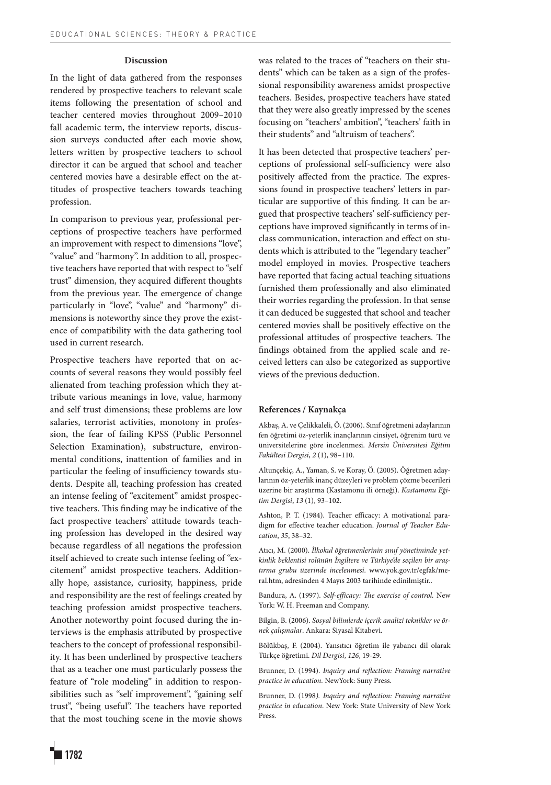### **Discussion**

In the light of data gathered from the responses rendered by prospective teachers to relevant scale items following the presentation of school and teacher centered movies throughout 2009–2010 fall academic term, the interview reports, discussion surveys conducted after each movie show, letters written by prospective teachers to school director it can be argued that school and teacher centered movies have a desirable effect on the attitudes of prospective teachers towards teaching profession.

In comparison to previous year, professional perceptions of prospective teachers have performed an improvement with respect to dimensions "love", "value" and "harmony". In addition to all, prospective teachers have reported that with respect to "self trust" dimension, they acquired different thoughts from the previous year. The emergence of change particularly in "love", "value" and "harmony" dimensions is noteworthy since they prove the existence of compatibility with the data gathering tool used in current research.

Prospective teachers have reported that on accounts of several reasons they would possibly feel alienated from teaching profession which they attribute various meanings in love, value, harmony and self trust dimensions; these problems are low salaries, terrorist activities, monotony in profession, the fear of failing KPSS (Public Personnel Selection Examination), substructure, environmental conditions, inattention of families and in particular the feeling of insufficiency towards students. Despite all, teaching profession has created an intense feeling of "excitement" amidst prospective teachers. This finding may be indicative of the fact prospective teachers' attitude towards teaching profession has developed in the desired way because regardless of all negations the profession itself achieved to create such intense feeling of "excitement" amidst prospective teachers. Additionally hope, assistance, curiosity, happiness, pride and responsibility are the rest of feelings created by teaching profession amidst prospective teachers. Another noteworthy point focused during the interviews is the emphasis attributed by prospective teachers to the concept of professional responsibility. It has been underlined by prospective teachers that as a teacher one must particularly possess the feature of "role modeling" in addition to responsibilities such as "self improvement", "gaining self trust", "being useful". The teachers have reported that the most touching scene in the movie shows

was related to the traces of "teachers on their students" which can be taken as a sign of the professional responsibility awareness amidst prospective teachers. Besides, prospective teachers have stated that they were also greatly impressed by the scenes focusing on "teachers' ambition", "teachers' faith in their students" and "altruism of teachers".

It has been detected that prospective teachers' perceptions of professional self-sufficiency were also positively affected from the practice. The expressions found in prospective teachers' letters in particular are supportive of this finding. It can be argued that prospective teachers' self-sufficiency perceptions have improved significantly in terms of inclass communication, interaction and effect on students which is attributed to the "legendary teacher" model employed in movies. Prospective teachers have reported that facing actual teaching situations furnished them professionally and also eliminated their worries regarding the profession. In that sense it can deduced be suggested that school and teacher centered movies shall be positively effective on the professional attitudes of prospective teachers. The findings obtained from the applied scale and received letters can also be categorized as supportive views of the previous deduction.

#### **References / Kaynakça**

Akbaş, A. ve Çelikkaleli, Ö. (2006). Sınıf öğretmeni adaylarının fen öğretimi öz-yeterlik inançlarının cinsiyet, öğrenim türü ve üniversitelerine göre incelenmesi. *Mersin Üniversitesi Eğitim Fakültesi Dergisi*, *2* (1), 98–110.

Altunçekiç, A., Yaman, S. ve Koray, Ö. (2005). Öğretmen adaylarının öz-yeterlik inanç düzeyleri ve problem çözme becerileri üzerine bir araştırma (Kastamonu ili örneği). *Kastamonu Eğitim Dergisi*, *13* (1), 93–102.

Ashton, P. T. (1984). Teacher efficacy: A motivational paradigm for effective teacher education. *Journal of Teacher Education*, *35*, 38–32.

Atıcı, M. (2000). *İlkokul öğretmenlerinin sınıf yönetiminde yetkinlik beklentisi rolünün İngiltere ve Türkiye'de seçilen bir araştırma grubu üzerinde incelenmesi*. www.yok.gov.tr/egfak/meral.htm, adresinden 4 Mayıs 2003 tarihinde edinilmiştir..

Bandura, A. (1997). *Self-efficacy: The exercise of control.* New York: W. H. Freeman and Company.

Bilgin, B. (2006). *Sosyal bilimlerde içerik analizi teknikler ve örnek çalışmalar*. Ankara: Siyasal Kitabevi.

Bölükbaş, F. (2004). Yansıtıcı öğretim ile yabancı dil olarak Türkçe öğretimi. *Dil Dergisi*, *126*, 19-29.

Brunner, D. (1994). *Inquiry and reflection: Framing narrative practice in education.* NewYork: Suny Press.

Brunner, D. (1998*). Inquiry and reflection: Framing narrative practice in education*. New York: State University of New York Press.